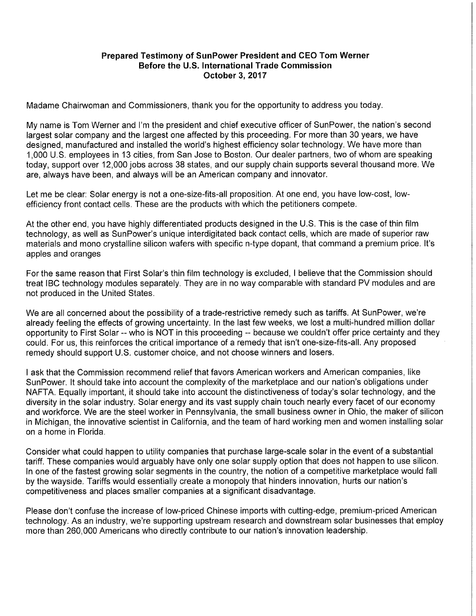## **Prepared Testimony of SunPower President and CEO Tom Werner Before the U.S. International Trade Commission October 3, 2017**

Madame Chairwoman and Commissioners, thank you for the opportunity to address you today.

My name is Tom Werner and I'm the president and chief executive officer of SunPower, the nation's second largest solar company and the largest one affected by this proceeding. For more than 30 years, we have designed, manufactured and installed the world's highest efficiency solar technology. We have more than 1,000 U.S. employees in 13 cities, from San Jose to Boston. Our dealer partners, two of whom are speaking today, support over 12,000 jobs across 38 states, and our supply chain supports several thousand more. We are, always have been, and always will be an American company and innovator.

Let me be clear: Solar energy is not a one-size-fits-all proposition. At one end, you have low-cost, lowefficiency front contact cells. These are the products with which the petitioners compete.

At the other end, you have highly differentiated products designed in the U.S. This is the case of thin film technology, as well as SunPower's unique interdigitated back contact cells, which are made of superior raw materials and mono crystalline silicon wafers with specific n-type dopant, that command a premium price. It's apples and oranges

For the same reason that First Solar's thin film technology is excluded, I believe that the Commission should treat IBC technology modules separately. They are in no way comparable with standard PV modules and are not produced in the United States.

We are all concerned about the possibility of a trade-restrictive remedy such as tariffs. At SunPower, we're already feeling the effects of growing uncertainty. In the last few weeks, we lost a multi-hundred million dollar opportunity to First Solar -- who is NOT in this proceeding -- because we couldn't offer price certainty and they could. For us, this reinforces the critical importance of a remedy that isn't one-size-fits-all. Any proposed remedy should support U.S. customer choice, and not choose winners and losers.

I ask that the Commission recommend relief that favors American workers and American companies, like SunPower. It should take into account the complexity of the marketplace and our nation's obligations under NAFTA. Equally important, it should take into account the distinctiveness of today's solar technology, and the diversity in the solar industry. Solar energy and its vast supply chain touch nearly every facet of our economy and workforce. We are the steel worker in Pennsylvania, the small business owner in Ohio, the maker of silicon in Michigan, the innovative scientist in California, and the team of hard working men and women installing solar on a home in Florida.

Consider what could happen to utility companies that purchase large-scale solar in the event of a substantial tariff. These companies would arguably have only one solar supply option that does not happen to use silicon. In one of the fastest growing solar segments in the country, the notion of a competitive marketplace would fall by the wayside. Tariffs would essentially create a monopoly that hinders innovation, hurts our nation's competitiveness and places smaller companies at a significant disadvantage.

Please don't confuse the increase of low-priced Chinese imports with cutting-edge, premium-priced American technology. As an industry, we're supporting upstream research and downstream solar businesses that employ more than 260,000 Americans who directly contribute to our nation's innovation leadership.